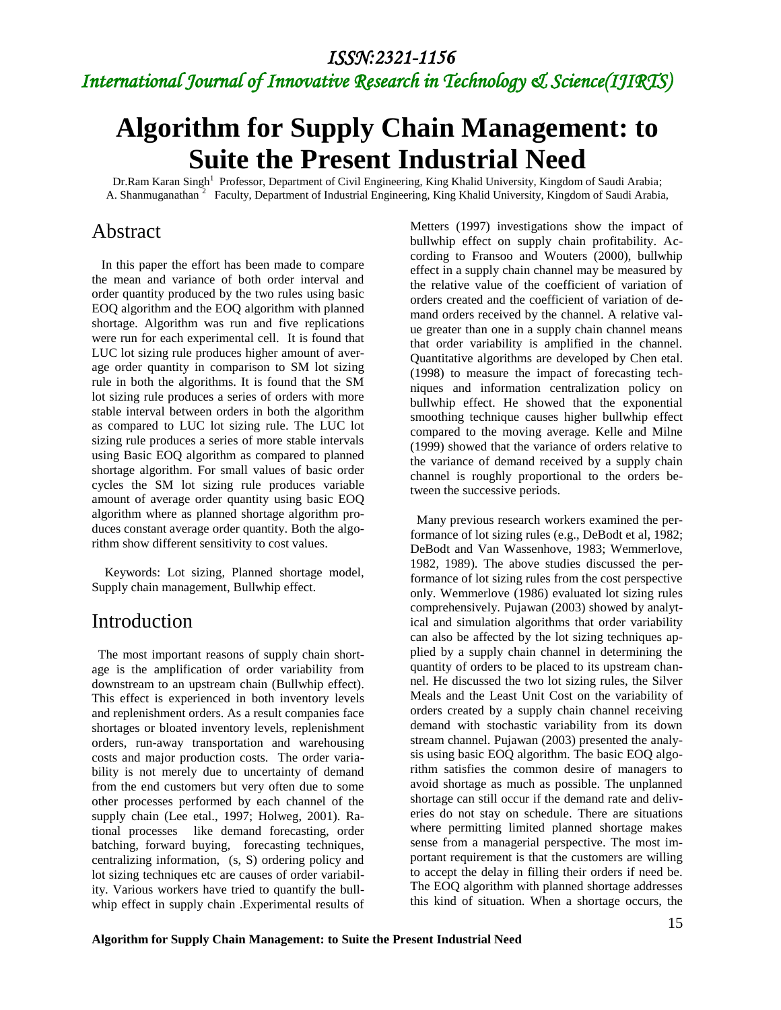# *International Journal of Innovative Research in Technology & Science(IJIRTS)*

# **Algorithm for Supply Chain Management: to Suite the Present Industrial Need**

Dr.Ram Karan Singh<sup>1</sup> Professor, Department of Civil Engineering, King Khalid University, Kingdom of Saudi Arabia; A. Shanmuganathan<sup>2</sup> Faculty, Department of Industrial Engineering, King Khalid University, Kingdom of Saudi Arabia,

### Abstract

In this paper the effort has been made to compare the mean and variance of both order interval and order quantity produced by the two rules using basic EOQ algorithm and the EOQ algorithm with planned shortage. Algorithm was run and five replications were run for each experimental cell. It is found that LUC lot sizing rule produces higher amount of average order quantity in comparison to SM lot sizing rule in both the algorithms. It is found that the SM lot sizing rule produces a series of orders with more stable interval between orders in both the algorithm as compared to LUC lot sizing rule. The LUC lot sizing rule produces a series of more stable intervals using Basic EOQ algorithm as compared to planned shortage algorithm. For small values of basic order cycles the SM lot sizing rule produces variable amount of average order quantity using basic EOQ algorithm where as planned shortage algorithm produces constant average order quantity. Both the algorithm show different sensitivity to cost values.

Keywords: Lot sizing, Planned shortage model, Supply chain management, Bullwhip effect.

### Introduction

 The most important reasons of supply chain shortage is the amplification of order variability from downstream to an upstream chain (Bullwhip effect). This effect is experienced in both inventory levels and replenishment orders. As a result companies face shortages or bloated inventory levels, replenishment orders, run-away transportation and warehousing costs and major production costs. The order variability is not merely due to uncertainty of demand from the end customers but very often due to some other processes performed by each channel of the supply chain (Lee etal., 1997; Holweg, 2001). Rational processes like demand forecasting, order batching, forward buying, forecasting techniques, centralizing information, (s, S) ordering policy and lot sizing techniques etc are causes of order variability. Various workers have tried to quantify the bullwhip effect in supply chain .Experimental results of

Metters (1997) investigations show the impact of bullwhip effect on supply chain profitability. According to Fransoo and Wouters (2000), bullwhip effect in a supply chain channel may be measured by the relative value of the coefficient of variation of orders created and the coefficient of variation of demand orders received by the channel. A relative value greater than one in a supply chain channel means that order variability is amplified in the channel. Quantitative algorithms are developed by Chen etal. (1998) to measure the impact of forecasting techniques and information centralization policy on bullwhip effect. He showed that the exponential smoothing technique causes higher bullwhip effect compared to the moving average. Kelle and Milne (1999) showed that the variance of orders relative to the variance of demand received by a supply chain channel is roughly proportional to the orders between the successive periods.

 Many previous research workers examined the performance of lot sizing rules (e.g., DeBodt et al, 1982; DeBodt and Van Wassenhove, 1983; Wemmerlove, 1982, 1989). The above studies discussed the performance of lot sizing rules from the cost perspective only. Wemmerlove (1986) evaluated lot sizing rules comprehensively. Pujawan (2003) showed by analytical and simulation algorithms that order variability can also be affected by the lot sizing techniques applied by a supply chain channel in determining the quantity of orders to be placed to its upstream channel. He discussed the two lot sizing rules, the Silver Meals and the Least Unit Cost on the variability of orders created by a supply chain channel receiving demand with stochastic variability from its down stream channel. Pujawan (2003) presented the analysis using basic EOQ algorithm. The basic EOQ algorithm satisfies the common desire of managers to avoid shortage as much as possible. The unplanned shortage can still occur if the demand rate and deliveries do not stay on schedule. There are situations where permitting limited planned shortage makes sense from a managerial perspective. The most important requirement is that the customers are willing to accept the delay in filling their orders if need be. The EOQ algorithm with planned shortage addresses this kind of situation. When a shortage occurs, the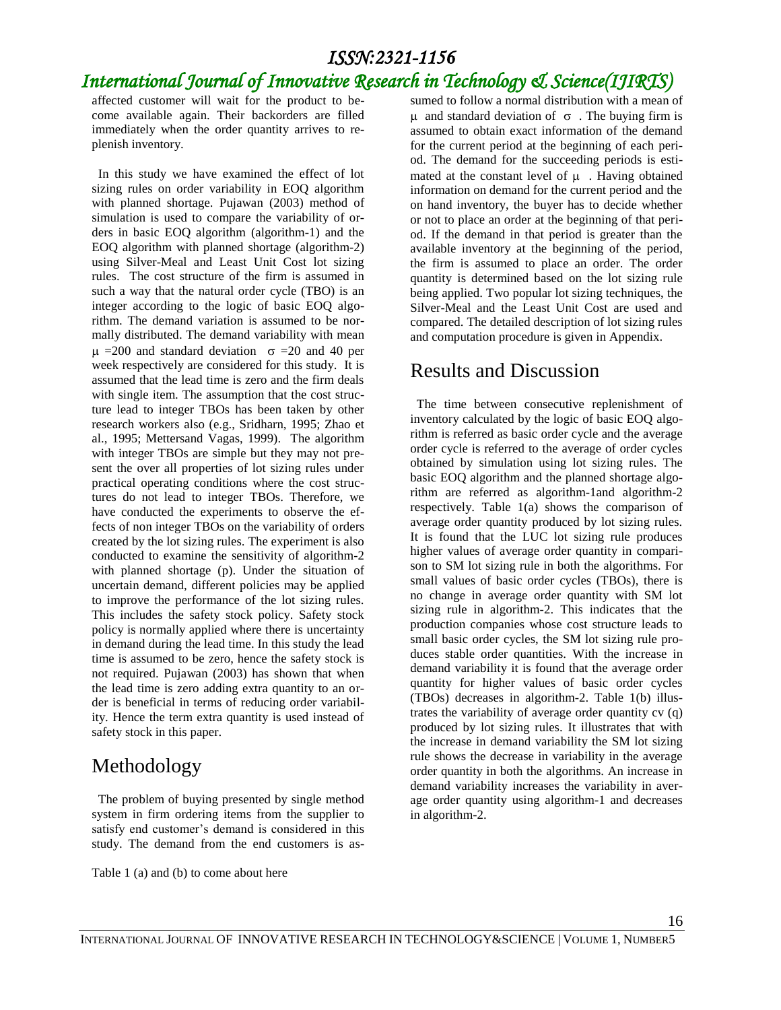### *International Journal of Innovative Research in Technology & Science(IJIRTS)*

affected customer will wait for the product to become available again. Their backorders are filled immediately when the order quantity arrives to replenish inventory.

 In this study we have examined the effect of lot sizing rules on order variability in EOQ algorithm with planned shortage. Pujawan (2003) method of simulation is used to compare the variability of orders in basic EOQ algorithm (algorithm-1) and the EOQ algorithm with planned shortage (algorithm-2) using Silver-Meal and Least Unit Cost lot sizing rules. The cost structure of the firm is assumed in such a way that the natural order cycle (TBO) is an integer according to the logic of basic EOQ algorithm. The demand variation is assumed to be normally distributed. The demand variability with mean  $\mu$  =200 and standard deviation  $\sigma$  =20 and 40 per week respectively are considered for this study. It is assumed that the lead time is zero and the firm deals with single item. The assumption that the cost structure lead to integer TBOs has been taken by other research workers also (e.g., Sridharn, 1995; Zhao et al., 1995; Mettersand Vagas, 1999). The algorithm with integer TBOs are simple but they may not present the over all properties of lot sizing rules under practical operating conditions where the cost structures do not lead to integer TBOs. Therefore, we have conducted the experiments to observe the effects of non integer TBOs on the variability of orders created by the lot sizing rules. The experiment is also conducted to examine the sensitivity of algorithm-2 with planned shortage (p). Under the situation of uncertain demand, different policies may be applied to improve the performance of the lot sizing rules. This includes the safety stock policy. Safety stock policy is normally applied where there is uncertainty in demand during the lead time. In this study the lead time is assumed to be zero, hence the safety stock is not required. Pujawan (2003) has shown that when the lead time is zero adding extra quantity to an order is beneficial in terms of reducing order variability. Hence the term extra quantity is used instead of safety stock in this paper.

### Methodology

 The problem of buying presented by single method system in firm ordering items from the supplier to satisfy end customer's demand is considered in this study. The demand from the end customers is as-

Table 1 (a) and (b) to come about here

sumed to follow a normal distribution with a mean of  $\mu$  and standard deviation of  $\sigma$ . The buying firm is assumed to obtain exact information of the demand for the current period at the beginning of each period. The demand for the succeeding periods is estimated at the constant level of  $\mu$ . Having obtained information on demand for the current period and the on hand inventory, the buyer has to decide whether or not to place an order at the beginning of that period. If the demand in that period is greater than the available inventory at the beginning of the period, the firm is assumed to place an order. The order quantity is determined based on the lot sizing rule being applied. Two popular lot sizing techniques, the Silver-Meal and the Least Unit Cost are used and compared. The detailed description of lot sizing rules and computation procedure is given in Appendix.

### Results and Discussion

 The time between consecutive replenishment of inventory calculated by the logic of basic EOQ algorithm is referred as basic order cycle and the average order cycle is referred to the average of order cycles obtained by simulation using lot sizing rules. The basic EOQ algorithm and the planned shortage algorithm are referred as algorithm-1and algorithm-2 respectively. Table 1(a) shows the comparison of average order quantity produced by lot sizing rules. It is found that the LUC lot sizing rule produces higher values of average order quantity in comparison to SM lot sizing rule in both the algorithms. For small values of basic order cycles (TBOs), there is no change in average order quantity with SM lot sizing rule in algorithm-2. This indicates that the production companies whose cost structure leads to small basic order cycles, the SM lot sizing rule produces stable order quantities. With the increase in demand variability it is found that the average order quantity for higher values of basic order cycles (TBOs) decreases in algorithm-2. Table 1(b) illustrates the variability of average order quantity cv (q) produced by lot sizing rules. It illustrates that with the increase in demand variability the SM lot sizing rule shows the decrease in variability in the average order quantity in both the algorithms. An increase in demand variability increases the variability in average order quantity using algorithm-1 and decreases in algorithm-2.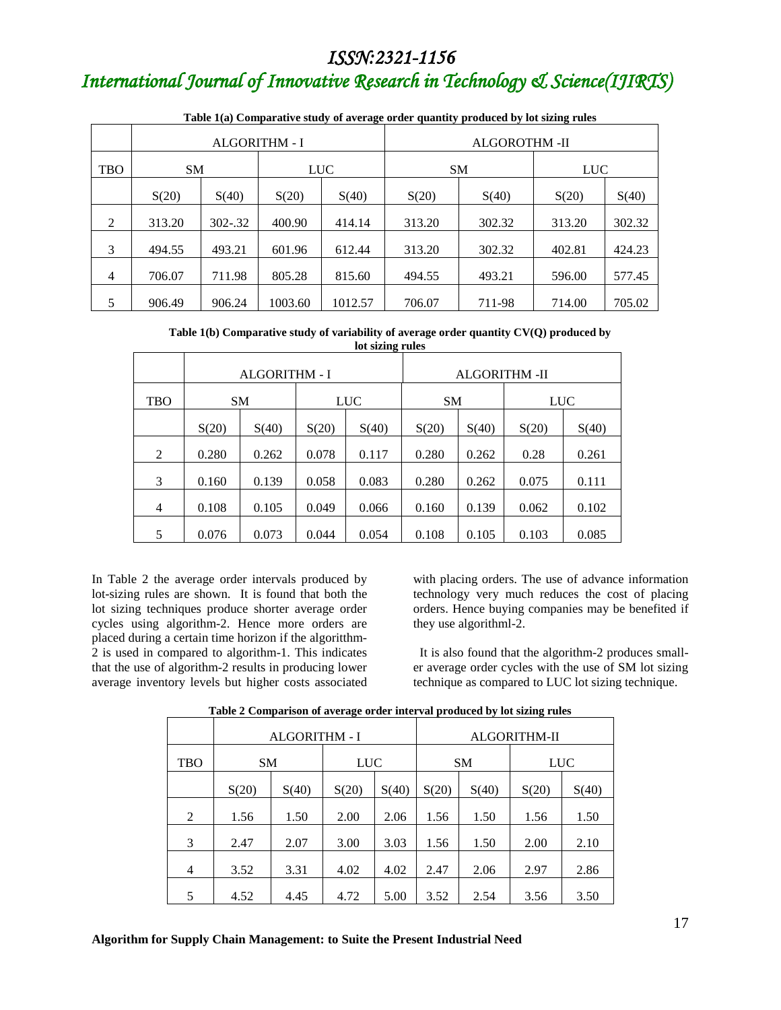# *International Journal of Innovative Research in Technology & Science(IJIRTS)*

|                |                      |         |                  |         | Table 1(a) Comparative study of average order quantity produced by for sizing rules |           |            |        |  |  |
|----------------|----------------------|---------|------------------|---------|-------------------------------------------------------------------------------------|-----------|------------|--------|--|--|
|                | <b>ALGORITHM - I</b> |         |                  |         | <b>ALGOROTHM -II</b>                                                                |           |            |        |  |  |
| <b>TBO</b>     | <b>SM</b>            |         | LUC <sup>1</sup> |         |                                                                                     | <b>SM</b> | <b>LUC</b> |        |  |  |
|                | S(20)                | S(40)   | S(20)            | S(40)   | S(20)                                                                               | S(40)     | S(20)      | S(40)  |  |  |
| 2              | 313.20               | 302-.32 | 400.90           | 414.14  | 313.20                                                                              | 302.32    | 313.20     | 302.32 |  |  |
| 3              | 494.55               | 493.21  | 601.96           | 612.44  | 313.20                                                                              | 302.32    | 402.81     | 424.23 |  |  |
| $\overline{4}$ | 706.07               | 711.98  | 805.28           | 815.60  | 494.55                                                                              | 493.21    | 596.00     | 577.45 |  |  |
| 5              | 906.49               | 906.24  | 1003.60          | 1012.57 | 706.07                                                                              | 711-98    | 714.00     | 705.02 |  |  |

**Table 1(a) Comparative study of average order quantity produced by lot sizing rules**

**Table 1(b) Comparative study of variability of average order quantity CV(Q) produced by lot sizing rules**

|                |           |                      |            | $\sim$               |           |       |            |       |
|----------------|-----------|----------------------|------------|----------------------|-----------|-------|------------|-------|
|                |           | <b>ALGORITHM - I</b> |            | <b>ALGORITHM -II</b> |           |       |            |       |
| <b>TBO</b>     | <b>SM</b> |                      | <b>LUC</b> |                      | <b>SM</b> |       | <b>LUC</b> |       |
|                | S(20)     | S(40)                | S(20)      | S(40)                | S(20)     | S(40) | S(20)      | S(40) |
| 2              | 0.280     | 0.262                | 0.078      | 0.117                | 0.280     | 0.262 | 0.28       | 0.261 |
| 3              | 0.160     | 0.139                | 0.058      | 0.083                | 0.280     | 0.262 | 0.075      | 0.111 |
| $\overline{4}$ | 0.108     | 0.105                | 0.049      | 0.066                | 0.160     | 0.139 | 0.062      | 0.102 |
| 5              | 0.076     | 0.073                | 0.044      | 0.054                | 0.108     | 0.105 | 0.103      | 0.085 |

In Table 2 the average order intervals produced by lot-sizing rules are shown. It is found that both the lot sizing techniques produce shorter average order cycles using algorithm-2. Hence more orders are placed during a certain time horizon if the algoritthm-2 is used in compared to algorithm-1. This indicates that the use of algorithm-2 results in producing lower average inventory levels but higher costs associated

with placing orders. The use of advance information technology very much reduces the cost of placing orders. Hence buying companies may be benefited if they use algorithml-2.

 It is also found that the algorithm-2 produces smaller average order cycles with the use of SM lot sizing technique as compared to LUC lot sizing technique.

|                |           | <b>ALGORITHM - I</b> |            | <b>ALGORITHM-II</b> |           |       |            |       |
|----------------|-----------|----------------------|------------|---------------------|-----------|-------|------------|-------|
| <b>TBO</b>     | <b>SM</b> |                      | <b>LUC</b> |                     | <b>SM</b> |       | <b>LUC</b> |       |
|                | S(20)     | S(40)                | S(20)      | S(40)               | S(20)     | S(40) | S(20)      | S(40) |
| 2              | 1.56      | 1.50                 | 2.00       | 2.06                | 1.56      | 1.50  | 1.56       | 1.50  |
| 3              | 2.47      | 2.07                 | 3.00       | 3.03                | 1.56      | 1.50  | 2.00       | 2.10  |
| $\overline{4}$ | 3.52      | 3.31                 | 4.02       | 4.02                | 2.47      | 2.06  | 2.97       | 2.86  |
| 5              | 4.52      | 4.45                 | 4.72       | 5.00                | 3.52      | 2.54  | 3.56       | 3.50  |

**Table 2 Comparison of average order interval produced by lot sizing rules**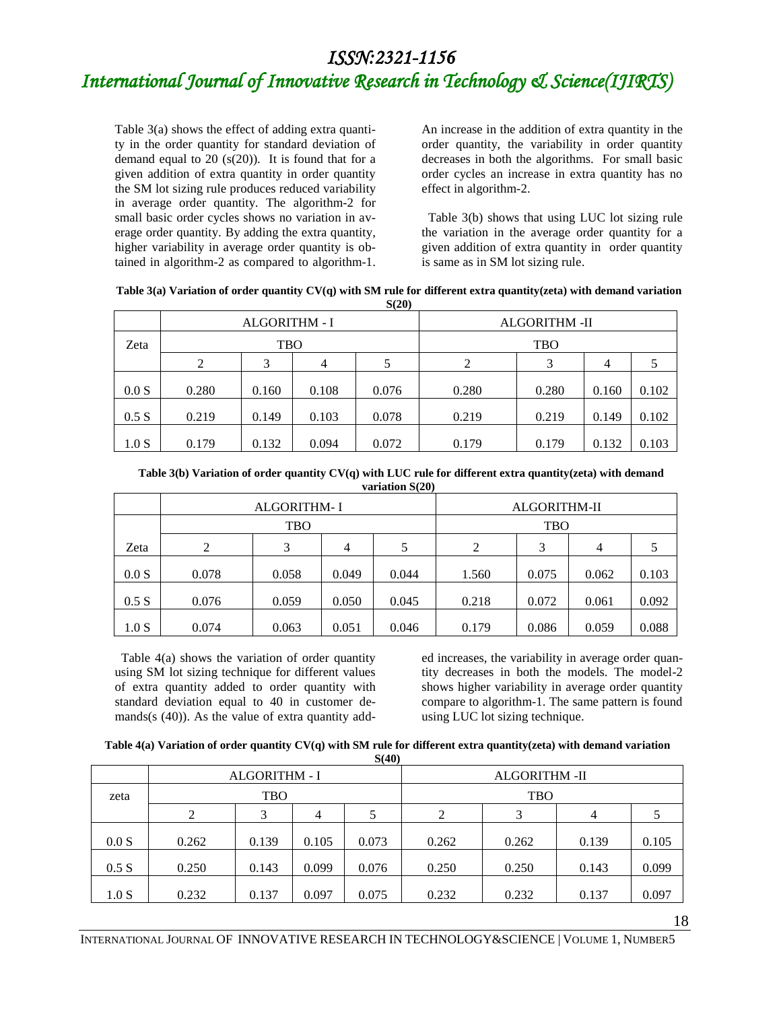# *International Journal of Innovative Research in Technology & Science(IJIRTS)*

Table 3(a) shows the effect of adding extra quantity in the order quantity for standard deviation of demand equal to 20  $(s(20))$ . It is found that for a given addition of extra quantity in order quantity the SM lot sizing rule produces reduced variability in average order quantity. The algorithm-2 for small basic order cycles shows no variation in average order quantity. By adding the extra quantity, higher variability in average order quantity is obtained in algorithm-2 as compared to algorithm-1. An increase in the addition of extra quantity in the order quantity, the variability in order quantity decreases in both the algorithms. For small basic order cycles an increase in extra quantity has no effect in algorithm-2.

 Table 3(b) shows that using LUC lot sizing rule the variation in the average order quantity for a given addition of extra quantity in order quantity is same as in SM lot sizing rule.

| Table 3(a) Variation of order quantity $CV(q)$ with SM rule for different extra quantity (zeta) with demand variation |  |
|-----------------------------------------------------------------------------------------------------------------------|--|
| S(20)                                                                                                                 |  |

|       | <b>ALGORITHM - I</b> |       |       |       | <b>ALGORITHM -II</b> |       |       |       |
|-------|----------------------|-------|-------|-------|----------------------|-------|-------|-------|
| Zeta  | <b>TBO</b>           |       |       |       | <b>TBO</b>           |       |       |       |
|       |                      | 3     | 4     |       | ↑                    |       | 4     |       |
| 0.0 S | 0.280                | 0.160 | 0.108 | 0.076 | 0.280                | 0.280 | 0.160 | 0.102 |
| 0.5 S | 0.219                | 0.149 | 0.103 | 0.078 | 0.219                | 0.219 | 0.149 | 0.102 |
| 1.0 S | 0.179                | 0.132 | 0.094 | 0.072 | 0.179                | 0.179 | 0.132 | 0.103 |

| Table 3(b) Variation of order quantity $CV(q)$ with LUC rule for different extra quantity (zeta) with demand |
|--------------------------------------------------------------------------------------------------------------|
| variation S(20)                                                                                              |

|       |       | <b>ALGORITHM-I</b> |       | ALGORITHM-II |       |            |       |       |  |
|-------|-------|--------------------|-------|--------------|-------|------------|-------|-------|--|
|       |       | <b>TBO</b>         |       |              |       | <b>TBO</b> |       |       |  |
| Zeta  | 2     | 3                  | 4     | 5            | 2     | 3          | 4     |       |  |
| 0.0 S | 0.078 | 0.058              | 0.049 | 0.044        | 1.560 | 0.075      | 0.062 | 0.103 |  |
| 0.5 S | 0.076 | 0.059              | 0.050 | 0.045        | 0.218 | 0.072      | 0.061 | 0.092 |  |
| 1.0 S | 0.074 | 0.063              | 0.051 | 0.046        | 0.179 | 0.086      | 0.059 | 0.088 |  |

 Table 4(a) shows the variation of order quantity using SM lot sizing technique for different values of extra quantity added to order quantity with standard deviation equal to 40 in customer demands(s (40)). As the value of extra quantity added increases, the variability in average order quantity decreases in both the models. The model-2 shows higher variability in average order quantity compare to algorithm-1. The same pattern is found using LUC lot sizing technique.

|               | Table $4(a)$ Variation of order quantity $CV(q)$ with SM rule for different extra quantity(zeta) with demand variation |
|---------------|------------------------------------------------------------------------------------------------------------------------|
| <b>S</b> (40) |                                                                                                                        |

|       | ALGORITHM - I |       |       |       | <b>ALGORITHM -II</b> |       |       |       |
|-------|---------------|-------|-------|-------|----------------------|-------|-------|-------|
| zeta  | <b>TBO</b>    |       |       |       | <b>TBO</b>           |       |       |       |
|       |               | 3     | 4     |       | 2                    |       | 4     |       |
| 0.0 S | 0.262         | 0.139 | 0.105 | 0.073 | 0.262                | 0.262 | 0.139 | 0.105 |
| 0.5 S | 0.250         | 0.143 | 0.099 | 0.076 | 0.250                | 0.250 | 0.143 | 0.099 |
| 1.0 S | 0.232         | 0.137 | 0.097 | 0.075 | 0.232                | 0.232 | 0.137 | 0.097 |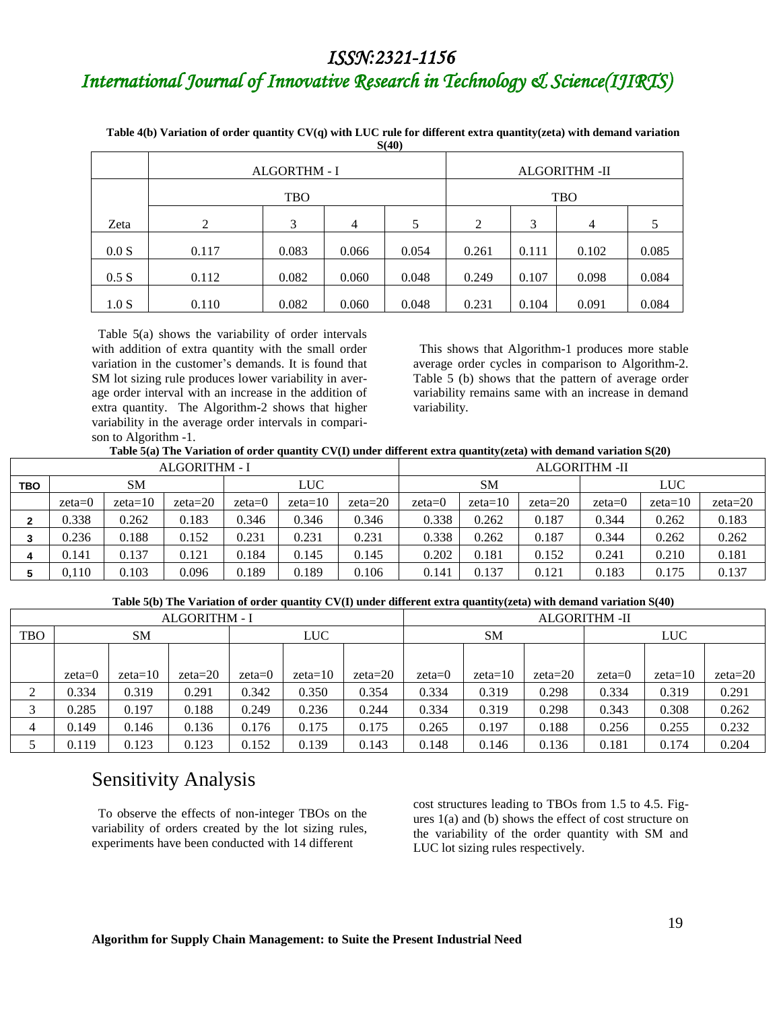# *International Journal of Innovative Research in Technology & Science(IJIRTS)*

| Table 4(b) Variation of order quantity $CV(q)$ with LUC rule for different extra quantity(zeta) with demand variation |
|-----------------------------------------------------------------------------------------------------------------------|
| <b>S(40)</b>                                                                                                          |

|       | $-1$  |              |                      |       |       |       |       |       |  |  |
|-------|-------|--------------|----------------------|-------|-------|-------|-------|-------|--|--|
|       |       | ALGORTHM - I | <b>ALGORITHM -II</b> |       |       |       |       |       |  |  |
|       |       | <b>TBO</b>   | <b>TBO</b>           |       |       |       |       |       |  |  |
| Zeta  | 2     | 3            | 4                    | 5     | 2     | 3     | 4     | 5     |  |  |
| 0.0 S | 0.117 | 0.083        | 0.066                | 0.054 | 0.261 | 0.111 | 0.102 | 0.085 |  |  |
| 0.5 S | 0.112 | 0.082        | 0.060                | 0.048 | 0.249 | 0.107 | 0.098 | 0.084 |  |  |
| 1.0 S | 0.110 | 0.082        | 0.060                | 0.048 | 0.231 | 0.104 | 0.091 | 0.084 |  |  |

 Table 5(a) shows the variability of order intervals with addition of extra quantity with the small order variation in the customer's demands. It is found that SM lot sizing rule produces lower variability in average order interval with an increase in the addition of extra quantity. The Algorithm-2 shows that higher variability in the average order intervals in comparison to Algorithm -1.

 This shows that Algorithm-1 produces more stable average order cycles in comparison to Algorithm-2. Table 5 (b) shows that the pattern of average order variability remains same with an increase in demand variability.

| ALGORITHM - I |          |           |           |          |           |           | ALGORITHM -II |           |           |            |           |           |  |
|---------------|----------|-----------|-----------|----------|-----------|-----------|---------------|-----------|-----------|------------|-----------|-----------|--|
| <b>TBO</b>    | SM       |           |           | LUC      |           |           | <b>SM</b>     |           |           | <b>LUC</b> |           |           |  |
|               | $zeta=0$ | $zeta=10$ | $zeta=20$ | $zeta=0$ | $zeta=10$ | $zeta=20$ | $zeta=0$      | $zeta=10$ | $zeta=20$ | $zeta=0$   | $zeta=10$ | $zeta=20$ |  |
|               | 0.338    | 0.262     | 0.183     | 0.346    | 0.346     | 0.346     | 0.338         | 0.262     | 0.187     | 0.344      | 0.262     | 0.183     |  |
|               | 0.236    | 0.188     | 0.152     | 0.231    | 0.231     | 0.231     | 0.338         | 0.262     | 0.187     | 0.344      | 0.262     | 0.262     |  |
|               | 0.141    | 0.137     | 0.121     | 0.184    | 0.145     | 0.145     | 0.202         | 0.181     | 0.152     | 0.241      | 0.210     | 0.181     |  |
|               | 0,110    | 0.103     | 0.096     | 0.189    | 0.189     | 0.106     | 0.141         | 0.137     | 0.121     | 0.183      | 0.175     | 0.137     |  |

#### **Table 5(b) The Variation of order quantity CV(I) under different extra quantity(zeta) with demand variation S(40)**

| <b>ALGORITHM - I</b> |           |           |           |            |           |           | <b>ALGORITHM -II</b> |           |           |            |           |           |
|----------------------|-----------|-----------|-----------|------------|-----------|-----------|----------------------|-----------|-----------|------------|-----------|-----------|
| <b>TBO</b>           | <b>SM</b> |           |           | <b>LUC</b> |           |           | <b>SM</b>            |           |           | <b>LUC</b> |           |           |
|                      |           |           |           |            |           |           |                      |           |           |            |           |           |
|                      | $zeta=0$  | $zeta=10$ | $zeta=20$ | $zeta=0$   | $zeta=10$ | $zeta=20$ | $zeta=0$             | $zeta=10$ | $zeta=20$ | $zeta=0$   | $zeta=10$ | $zeta=20$ |
| 2                    | 0.334     | 0.319     | 0.291     | 0.342      | 0.350     | 0.354     | 0.334                | 0.319     | 0.298     | 0.334      | 0.319     | 0.291     |
|                      | 0.285     | 0.197     | 0.188     | 0.249      | 0.236     | 0.244     | 0.334                | 0.319     | 0.298     | 0.343      | 0.308     | 0.262     |
|                      | 0.149     | 0.146     | 0.136     | 0.176      | 0.175     | 0.175     | 0.265                | 0.197     | 0.188     | 0.256      | 0.255     | 0.232     |
|                      | 0.119     | 0.123     | 0.123     | 0.152      | 0.139     | 0.143     | 0.148                | 0.146     | 0.136     | 0.181      | 0.174     | 0.204     |

### Sensitivity Analysis

 To observe the effects of non-integer TBOs on the variability of orders created by the lot sizing rules, experiments have been conducted with 14 different

cost structures leading to TBOs from 1.5 to 4.5. Figures 1(a) and (b) shows the effect of cost structure on the variability of the order quantity with SM and LUC lot sizing rules respectively.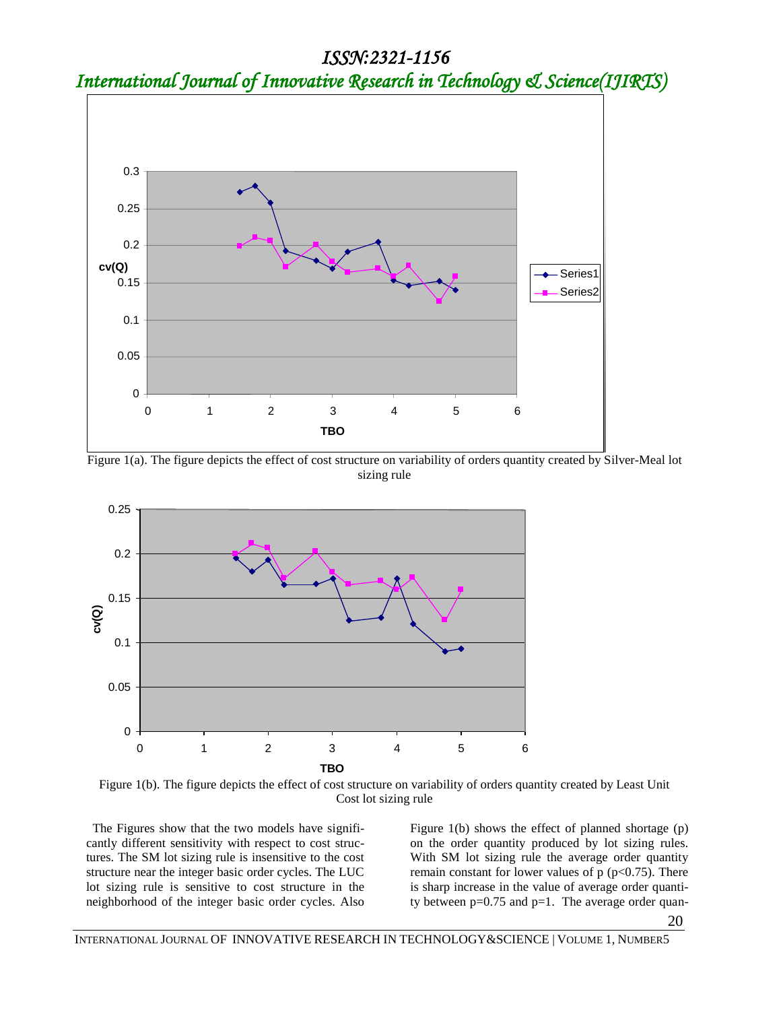*International Journal of Innovative Research in Technology & Science(IJIRTS)*



**Figure 1(a).** The figure depicts the effect of cost structure on variability of orders quantity created by Silver-Meal lot **Figure** sizing rule sizing rule



Figure 1(b). The figure depicts the effect of cost structure on variability of orders quantity created by Least Unit Cost lot sizing rule

 The Figures show that the two models have significantly different sensitivity with respect to cost structures. The SM lot sizing rule is insensitive to the cost structure near the integer basic order cycles. The LUC lot sizing rule is sensitive to cost structure in the neighborhood of the integer basic order cycles. Also

Figure 1(b) shows the effect of planned shortage (p) on the order quantity produced by lot sizing rules. With SM lot sizing rule the average order quantity remain constant for lower values of  $p (p<0.75)$ . There is sharp increase in the value of average order quantity between  $p=0.75$  and  $p=1$ . The average order quan-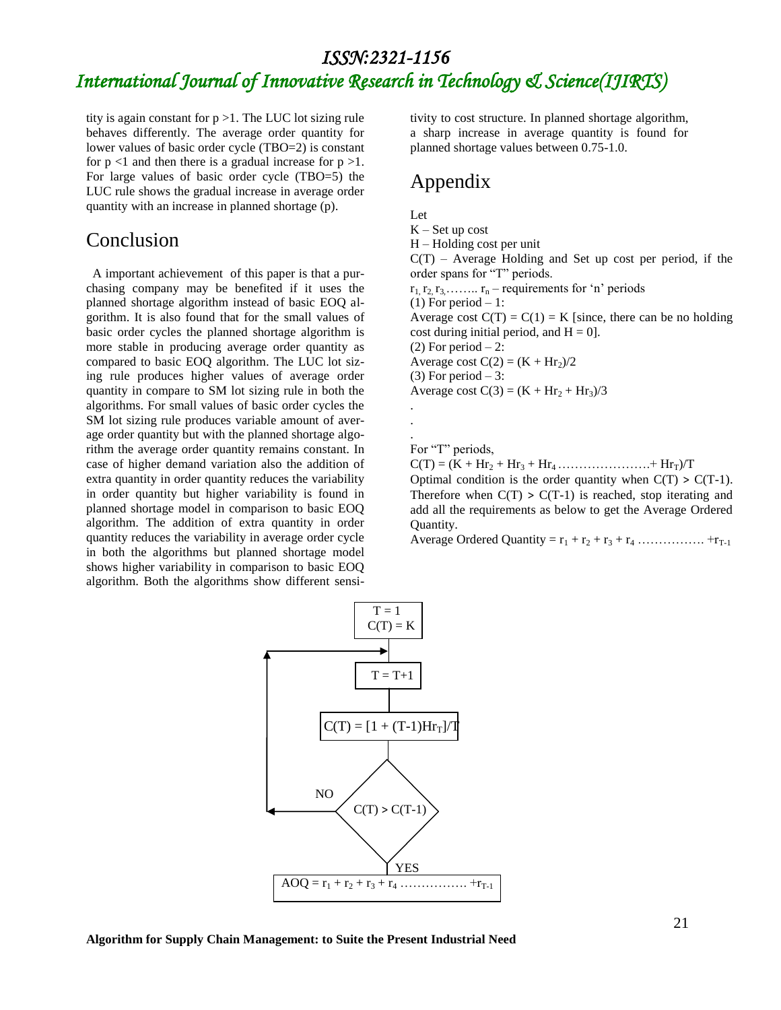# *International Journal of Innovative Research in Technology & Science(IJIRTS)*

tity is again constant for  $p > 1$ . The LUC lot sizing rule behaves differently. The average order quantity for lower values of basic order cycle (TBO=2) is constant for  $p \le 1$  and then there is a gradual increase for  $p > 1$ . For large values of basic order cycle (TBO=5) the LUC rule shows the gradual increase in average order quantity with an increase in planned shortage (p).

#### Conclusion

 A important achievement of this paper is that a purchasing company may be benefited if it uses the planned shortage algorithm instead of basic EOQ algorithm. It is also found that for the small values of basic order cycles the planned shortage algorithm is more stable in producing average order quantity as compared to basic EOQ algorithm. The LUC lot sizing rule produces higher values of average order quantity in compare to SM lot sizing rule in both the algorithms. For small values of basic order cycles the SM lot sizing rule produces variable amount of average order quantity but with the planned shortage algorithm the average order quantity remains constant. In case of higher demand variation also the addition of extra quantity in order quantity reduces the variability in order quantity but higher variability is found in planned shortage model in comparison to basic EOQ algorithm. The addition of extra quantity in order quantity reduces the variability in average order cycle in both the algorithms but planned shortage model shows higher variability in comparison to basic EOQ algorithm. Both the algorithms show different sensitivity to cost structure. In planned shortage algorithm, a sharp increase in average quantity is found for planned shortage values between 0.75-1.0.

### Appendix

Let  $K - Set$  up cost H – Holding cost per unit  $C(T)$  – Average Holding and Set up cost per period, if the order spans for "T" periods.  $r_1, r_2, r_3, \ldots, r_n$  – requirements for 'n' periods  $(1)$  For period  $-1$ : Average cost  $C(T) = C(1) = K$  [since, there can be no holding cost during initial period, and  $H = 0$ .  $(2)$  For period  $-2$ : Average cost  $C(2) = (K + Hr_2)/2$  $(3)$  For period  $-3$ : Average cost  $C(3) = (K + Hr<sub>2</sub> + Hr<sub>3</sub>)/3$ . . . For "T" periods,  $C(T) = (K + Hr_2 + Hr_3 + Hr_4 + \dots + Hr_T)/T$ Optimal condition is the order quantity when  $C(T) > C(T-1)$ . Therefore when  $C(T) > C(T-1)$  is reached, stop iterating and add all the requirements as below to get the Average Ordered Quantity. Average Ordered Quantity =  $r_1 + r_2 + r_3 + r_4$  ………………… + $r_{T-1}$ 



**Algorithm for Supply Chain Management: to Suite the Present Industrial Need**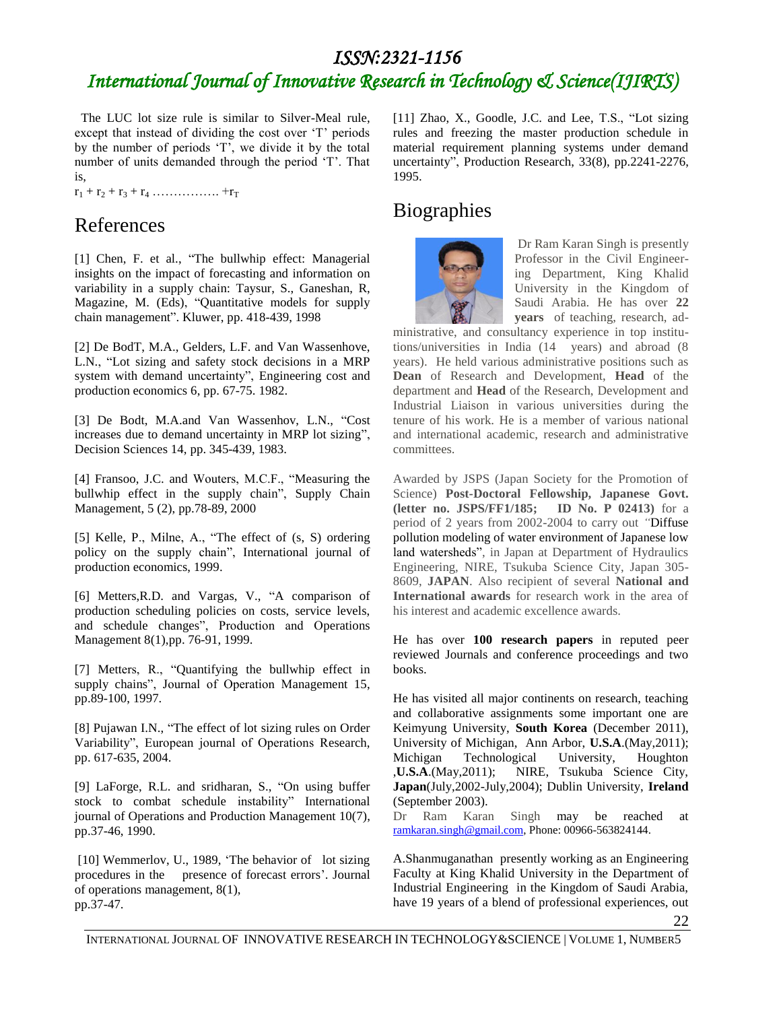# *ISSN:2321-1156 International Journal of Innovative Research in Technology & Science(IJIRTS)*

 The LUC lot size rule is similar to Silver-Meal rule, except that instead of dividing the cost over 'T' periods by the number of periods 'T', we divide it by the total number of units demanded through the period 'T'. That is,

r<sup>1</sup> + r<sup>2</sup> + r<sup>3</sup> + r<sup>4</sup> ……………. +r<sup>T</sup>

## References

[1] Chen, F. et al., "The bullwhip effect: Managerial insights on the impact of forecasting and information on variability in a supply chain: Taysur, S., Ganeshan, R, Magazine, M. (Eds), "Quantitative models for supply chain management". Kluwer, pp. 418-439, 1998

[2] De BodT, M.A., Gelders, L.F. and Van Wassenhove, L.N., "Lot sizing and safety stock decisions in a MRP system with demand uncertainty", Engineering cost and production economics 6, pp. 67-75. 1982.

[3] De Bodt, M.A.and Van Wassenhov, L.N., "Cost increases due to demand uncertainty in MRP lot sizing", Decision Sciences 14, pp. 345-439, 1983.

[4] Fransoo, J.C. and Wouters, M.C.F., "Measuring the bullwhip effect in the supply chain", Supply Chain Management, 5 (2), pp.78-89, 2000

[5] Kelle, P., Milne, A., "The effect of (s, S) ordering policy on the supply chain", International journal of production economics, 1999.

[6] Metters,R.D. and Vargas, V., "A comparison of production scheduling policies on costs, service levels, and schedule changes", Production and Operations Management 8(1),pp. 76-91, 1999.

[7] Metters, R., "Quantifying the bullwhip effect in supply chains", Journal of Operation Management 15, pp.89-100, 1997.

[8] Pujawan I.N., "The effect of lot sizing rules on Order Variability", European journal of Operations Research, pp. 617-635, 2004.

[9] LaForge, R.L. and sridharan, S., "On using buffer stock to combat schedule instability" International journal of Operations and Production Management 10(7), pp.37-46, 1990.

[10] Wemmerlov, U., 1989, 'The behavior of lot sizing procedures in the presence of forecast errors'. Journal of operations management, 8(1), pp.37-47.

[11] Zhao, X., Goodle, J.C. and Lee, T.S., "Lot sizing rules and freezing the master production schedule in material requirement planning systems under demand uncertainty", Production Research, 33(8), pp.2241-2276, 1995.

### **Biographies**



Dr Ram Karan Singh is presently Professor in the Civil Engineering Department, King Khalid University in the Kingdom of Saudi Arabia. He has over **22 years** of teaching, research, ad-

ministrative, and consultancy experience in top institutions/universities in India (14 years) and abroad (8 years). He held various administrative positions such as **Dean** of Research and Development, **Head** of the department and **Head** of the Research, Development and Industrial Liaison in various universities during the tenure of his work. He is a member of various national and international academic, research and administrative committees.

Awarded by JSPS (Japan Society for the Promotion of Science) **Post-Doctoral Fellowship, Japanese Govt. (letter no. JSPS/FF1/185; ID No. P 02413)** for a period of 2 years from 2002-2004 to carry out *"*Diffuse pollution modeling of water environment of Japanese low land watersheds", in Japan at Department of Hydraulics Engineering, NIRE, Tsukuba Science City, Japan 305- 8609, **JAPAN**. Also recipient of several **National and International awards** for research work in the area of his interest and academic excellence awards.

He has over **100 research papers** in reputed peer reviewed Journals and conference proceedings and two books.

He has visited all major continents on research, teaching and collaborative assignments some important one are Keimyung University, **South Korea** (December 2011), University of Michigan, Ann Arbor, **U.S.A**.(May,2011); Michigan Technological University, Houghton ,**U.S.A**.(May,2011); NIRE, Tsukuba Science City, **Japan**(July,2002-July,2004); Dublin University, **Ireland** (September 2003).

Dr Ram Karan Singh may be reached at [ramkaran.singh@gmail.com,](mailto:ramkaran.singh@gmail.com) Phone: 00966-563824144.

A.Shanmuganathan presently working as an Engineering Faculty at King Khalid University in the Department of Industrial Engineering in the Kingdom of Saudi Arabia, have 19 years of a blend of professional experiences, out